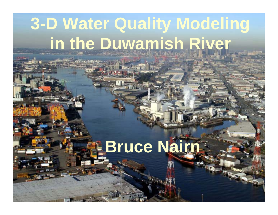# **3-D Water Quality Modeling in the Duwamish River**

# **Bruce Nairn**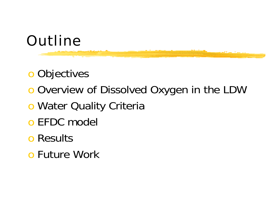# **Outline**

o Objectives

- o Overview of Dissolved Oxygen in the LDW
- o Water Quality Criteria
- o EFDC model
- o Results
- o Future Work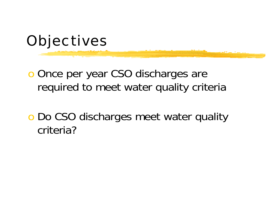

o Once per year CSO discharges are required to meet water quality criteria

o Do CSO discharges meet water quality criteria?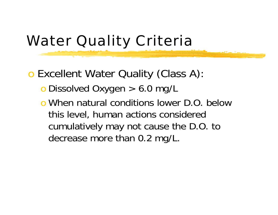# Water Quality Criteria

o Excellent Water Quality (Class A):

- o Dissolved Oxygen > 6.0 mg/L
- o When natural conditions lower D.O. below this level, human actions considered cumulatively may not cause the D.O. to decrease more than 0.2 mg/L.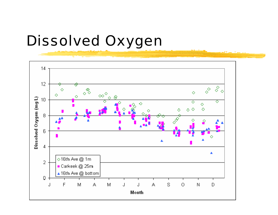### Dissolved Oxygen

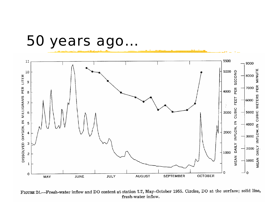#### 50 years ago…



FIGURE 24.-Fresh-water inflow and DO content at station 7.7, May-October 1955. Circles, DO at the surface; solid line, fresh-water inflow.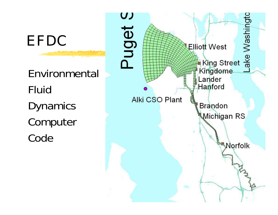EFDC

Environmental Fluid **Dynamics** Computer Code

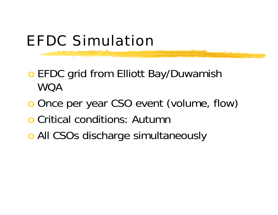# EFDC Simulation

- o EFDC grid from Elliott Bay/Duwamish WQA
- o Once per year CSO event (volume, flow)
- o Critical conditions: Autumn
- **o All CSOs discharge simultaneously**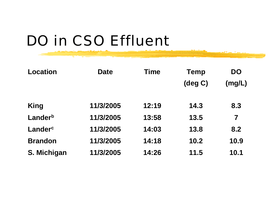# DO in CSO Effluent

| <b>Location</b> | <b>Date</b> | <b>Time</b> | <b>Temp</b> | <b>DO</b>               |
|-----------------|-------------|-------------|-------------|-------------------------|
|                 |             |             | (deg C)     | (mg/L)                  |
| <b>King</b>     | 11/3/2005   | 12:19       | 14.3        | 8.3                     |
| Landerb         | 11/3/2005   | 13:58       | 13.5        | $\overline{\mathbf{7}}$ |
| Landerc         | 11/3/2005   | 14:03       | 13.8        | 8.2                     |
| <b>Brandon</b>  | 11/3/2005   | 14:18       | 10.2        | 10.9                    |
| S. Michigan     | 11/3/2005   | 14:26       | 11.5        | 10.1                    |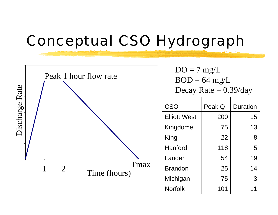#### Conceptual CSO Hydrograph

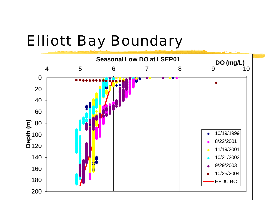# Elliott Bay Boundary

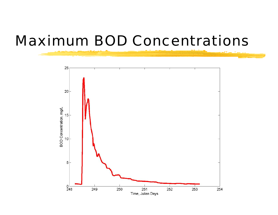#### Maximum BOD Concentrations

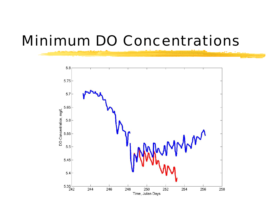#### Minimum DO Concentrations

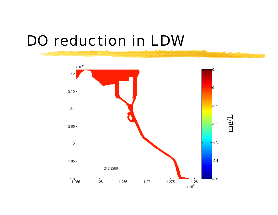#### DO reduction in LDW

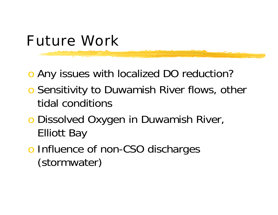#### Future Work

o Any issues with localized DO reduction?

- **o** Sensitivity to Duwamish River flows, other tidal conditions
- o Dissolved Oxygen in Duwamish River, Elliott Bay
- o Influence of non-CSO discharges (stormwater)